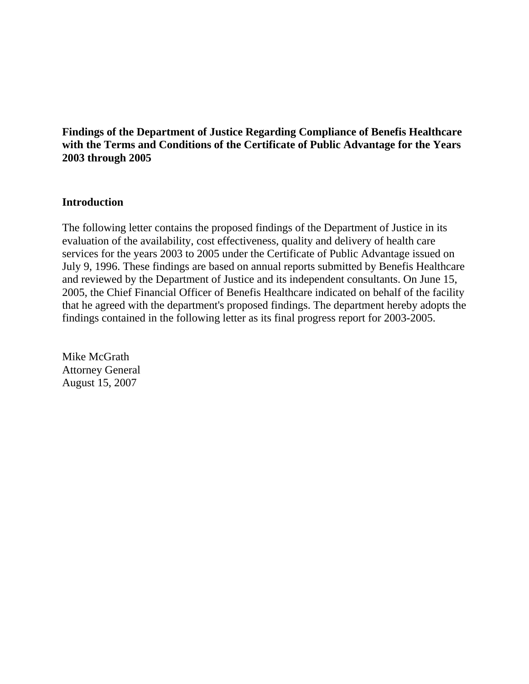# **Findings of the Department of Justice Regarding Compliance of Benefis Healthcare with the Terms and Conditions of the Certificate of Public Advantage for the Years 2003 through 2005**

# **Introduction**

The following letter contains the proposed findings of the Department of Justice in its evaluation of the availability, cost effectiveness, quality and delivery of health care services for the years 2003 to 2005 under the Certificate of Public Advantage issued on July 9, 1996. These findings are based on annual reports submitted by Benefis Healthcare and reviewed by the Department of Justice and its independent consultants. On June 15, 2005, the Chief Financial Officer of Benefis Healthcare indicated on behalf of the facility that he agreed with the department's proposed findings. The department hereby adopts the findings contained in the following letter as its final progress report for 2003-2005.

Mike McGrath Attorney General August 15, 2007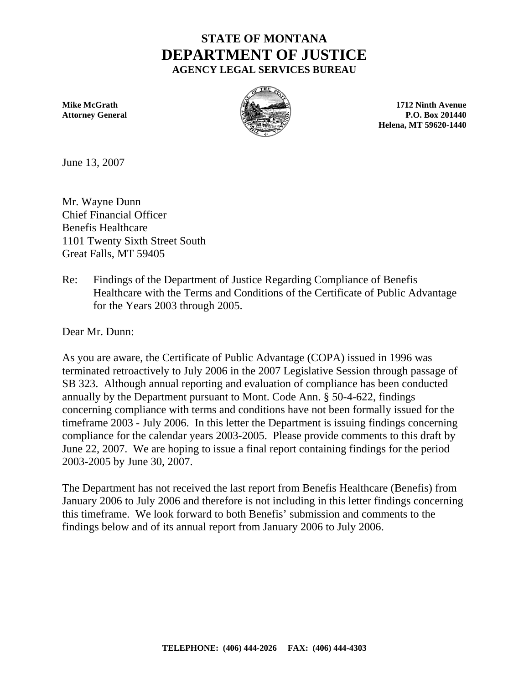# **STATE OF MONTANA DEPARTMENT OF JUSTICE AGENCY LEGAL SERVICES BUREAU**



**Mike McGrath 1712 Ninth Avenue 1712 Ninth Avenue Attorney General 201440 P.O. Box 201440 P.O. Box 201440 Helena, MT 59620-1440**

June 13, 2007

Mr. Wayne Dunn Chief Financial Officer Benefis Healthcare 1101 Twenty Sixth Street South Great Falls, MT 59405

Re: Findings of the Department of Justice Regarding Compliance of Benefis Healthcare with the Terms and Conditions of the Certificate of Public Advantage for the Years 2003 through 2005.

Dear Mr. Dunn:

As you are aware, the Certificate of Public Advantage (COPA) issued in 1996 was terminated retroactively to July 2006 in the 2007 Legislative Session through passage of SB 323. Although annual reporting and evaluation of compliance has been conducted annually by the Department pursuant to Mont. Code Ann. § 50-4-622, findings concerning compliance with terms and conditions have not been formally issued for the timeframe 2003 - July 2006. In this letter the Department is issuing findings concerning compliance for the calendar years 2003-2005. Please provide comments to this draft by June 22, 2007. We are hoping to issue a final report containing findings for the period 2003-2005 by June 30, 2007.

The Department has not received the last report from Benefis Healthcare (Benefis) from January 2006 to July 2006 and therefore is not including in this letter findings concerning this timeframe. We look forward to both Benefis' submission and comments to the findings below and of its annual report from January 2006 to July 2006.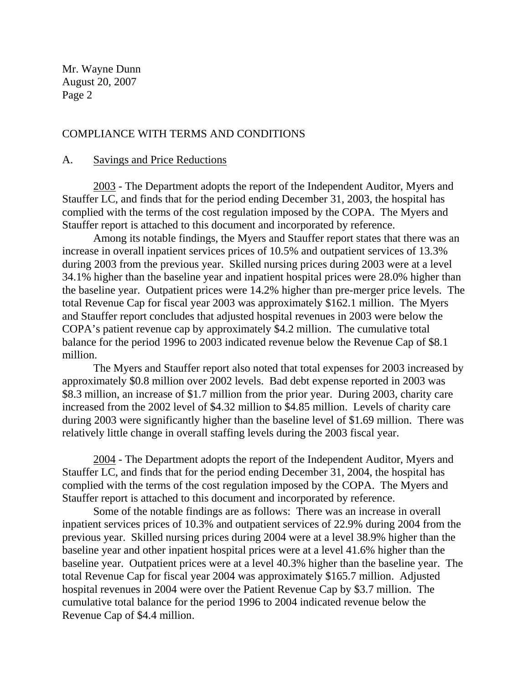## COMPLIANCE WITH TERMS AND CONDITIONS

#### A. Savings and Price Reductions

2003 - The Department adopts the report of the Independent Auditor, Myers and Stauffer LC, and finds that for the period ending December 31, 2003, the hospital has complied with the terms of the cost regulation imposed by the COPA. The Myers and Stauffer report is attached to this document and incorporated by reference.

 Among its notable findings, the Myers and Stauffer report states that there was an increase in overall inpatient services prices of 10.5% and outpatient services of 13.3% during 2003 from the previous year. Skilled nursing prices during 2003 were at a level 34.1% higher than the baseline year and inpatient hospital prices were 28.0% higher than the baseline year. Outpatient prices were 14.2% higher than pre-merger price levels. The total Revenue Cap for fiscal year 2003 was approximately \$162.1 million. The Myers and Stauffer report concludes that adjusted hospital revenues in 2003 were below the COPA's patient revenue cap by approximately \$4.2 million. The cumulative total balance for the period 1996 to 2003 indicated revenue below the Revenue Cap of \$8.1 million.

The Myers and Stauffer report also noted that total expenses for 2003 increased by approximately \$0.8 million over 2002 levels. Bad debt expense reported in 2003 was \$8.3 million, an increase of \$1.7 million from the prior year. During 2003, charity care increased from the 2002 level of \$4.32 million to \$4.85 million. Levels of charity care during 2003 were significantly higher than the baseline level of \$1.69 million. There was relatively little change in overall staffing levels during the 2003 fiscal year.

2004 - The Department adopts the report of the Independent Auditor, Myers and Stauffer LC, and finds that for the period ending December 31, 2004, the hospital has complied with the terms of the cost regulation imposed by the COPA. The Myers and Stauffer report is attached to this document and incorporated by reference.

 Some of the notable findings are as follows: There was an increase in overall inpatient services prices of 10.3% and outpatient services of 22.9% during 2004 from the previous year. Skilled nursing prices during 2004 were at a level 38.9% higher than the baseline year and other inpatient hospital prices were at a level 41.6% higher than the baseline year. Outpatient prices were at a level 40.3% higher than the baseline year. The total Revenue Cap for fiscal year 2004 was approximately \$165.7 million. Adjusted hospital revenues in 2004 were over the Patient Revenue Cap by \$3.7 million. The cumulative total balance for the period 1996 to 2004 indicated revenue below the Revenue Cap of \$4.4 million.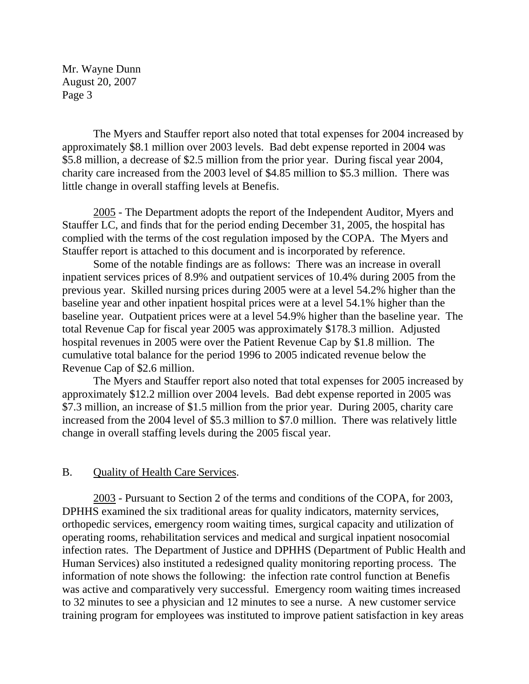The Myers and Stauffer report also noted that total expenses for 2004 increased by approximately \$8.1 million over 2003 levels. Bad debt expense reported in 2004 was \$5.8 million, a decrease of \$2.5 million from the prior year. During fiscal year 2004, charity care increased from the 2003 level of \$4.85 million to \$5.3 million. There was little change in overall staffing levels at Benefis.

2005 - The Department adopts the report of the Independent Auditor, Myers and Stauffer LC, and finds that for the period ending December 31, 2005, the hospital has complied with the terms of the cost regulation imposed by the COPA. The Myers and Stauffer report is attached to this document and is incorporated by reference.

Some of the notable findings are as follows: There was an increase in overall inpatient services prices of 8.9% and outpatient services of 10.4% during 2005 from the previous year. Skilled nursing prices during 2005 were at a level 54.2% higher than the baseline year and other inpatient hospital prices were at a level 54.1% higher than the baseline year. Outpatient prices were at a level 54.9% higher than the baseline year. The total Revenue Cap for fiscal year 2005 was approximately \$178.3 million. Adjusted hospital revenues in 2005 were over the Patient Revenue Cap by \$1.8 million. The cumulative total balance for the period 1996 to 2005 indicated revenue below the Revenue Cap of \$2.6 million.

The Myers and Stauffer report also noted that total expenses for 2005 increased by approximately \$12.2 million over 2004 levels. Bad debt expense reported in 2005 was \$7.3 million, an increase of \$1.5 million from the prior year. During 2005, charity care increased from the 2004 level of \$5.3 million to \$7.0 million. There was relatively little change in overall staffing levels during the 2005 fiscal year.

## B. Quality of Health Care Services.

2003 - Pursuant to Section 2 of the terms and conditions of the COPA, for 2003, DPHHS examined the six traditional areas for quality indicators, maternity services, orthopedic services, emergency room waiting times, surgical capacity and utilization of operating rooms, rehabilitation services and medical and surgical inpatient nosocomial infection rates. The Department of Justice and DPHHS (Department of Public Health and Human Services) also instituted a redesigned quality monitoring reporting process. The information of note shows the following: the infection rate control function at Benefis was active and comparatively very successful. Emergency room waiting times increased to 32 minutes to see a physician and 12 minutes to see a nurse. A new customer service training program for employees was instituted to improve patient satisfaction in key areas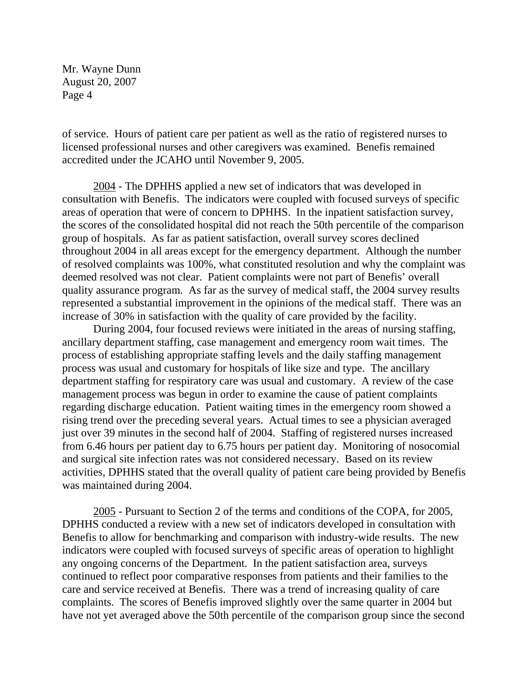of service. Hours of patient care per patient as well as the ratio of registered nurses to licensed professional nurses and other caregivers was examined. Benefis remained accredited under the JCAHO until November 9, 2005.

2004 - The DPHHS applied a new set of indicators that was developed in consultation with Benefis. The indicators were coupled with focused surveys of specific areas of operation that were of concern to DPHHS. In the inpatient satisfaction survey, the scores of the consolidated hospital did not reach the 50th percentile of the comparison group of hospitals. As far as patient satisfaction, overall survey scores declined throughout 2004 in all areas except for the emergency department. Although the number of resolved complaints was 100%, what constituted resolution and why the complaint was deemed resolved was not clear. Patient complaints were not part of Benefis' overall quality assurance program. As far as the survey of medical staff, the 2004 survey results represented a substantial improvement in the opinions of the medical staff. There was an increase of 30% in satisfaction with the quality of care provided by the facility.

 During 2004, four focused reviews were initiated in the areas of nursing staffing, ancillary department staffing, case management and emergency room wait times. The process of establishing appropriate staffing levels and the daily staffing management process was usual and customary for hospitals of like size and type. The ancillary department staffing for respiratory care was usual and customary. A review of the case management process was begun in order to examine the cause of patient complaints regarding discharge education. Patient waiting times in the emergency room showed a rising trend over the preceding several years. Actual times to see a physician averaged just over 39 minutes in the second half of 2004. Staffing of registered nurses increased from 6.46 hours per patient day to 6.75 hours per patient day. Monitoring of nosocomial and surgical site infection rates was not considered necessary. Based on its review activities, DPHHS stated that the overall quality of patient care being provided by Benefis was maintained during 2004.

2005 - Pursuant to Section 2 of the terms and conditions of the COPA, for 2005, DPHHS conducted a review with a new set of indicators developed in consultation with Benefis to allow for benchmarking and comparison with industry-wide results. The new indicators were coupled with focused surveys of specific areas of operation to highlight any ongoing concerns of the Department. In the patient satisfaction area, surveys continued to reflect poor comparative responses from patients and their families to the care and service received at Benefis. There was a trend of increasing quality of care complaints. The scores of Benefis improved slightly over the same quarter in 2004 but have not yet averaged above the 50th percentile of the comparison group since the second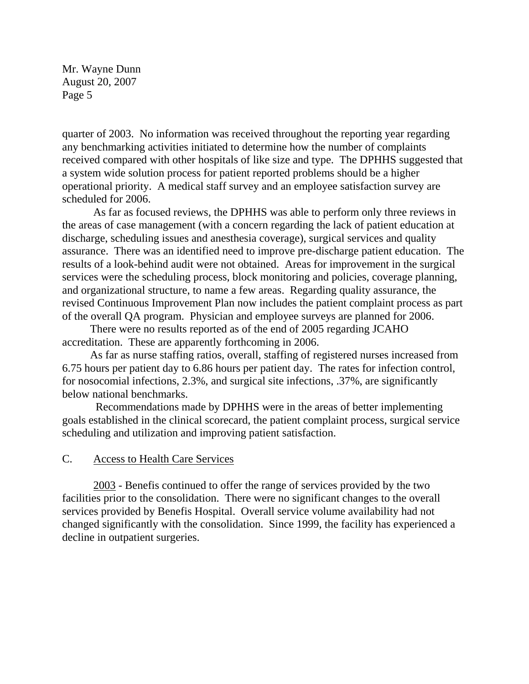quarter of 2003. No information was received throughout the reporting year regarding any benchmarking activities initiated to determine how the number of complaints received compared with other hospitals of like size and type. The DPHHS suggested that a system wide solution process for patient reported problems should be a higher operational priority. A medical staff survey and an employee satisfaction survey are scheduled for 2006.

 As far as focused reviews, the DPHHS was able to perform only three reviews in the areas of case management (with a concern regarding the lack of patient education at discharge, scheduling issues and anesthesia coverage), surgical services and quality assurance. There was an identified need to improve pre-discharge patient education. The results of a look-behind audit were not obtained. Areas for improvement in the surgical services were the scheduling process, block monitoring and policies, coverage planning, and organizational structure, to name a few areas. Regarding quality assurance, the revised Continuous Improvement Plan now includes the patient complaint process as part of the overall QA program. Physician and employee surveys are planned for 2006.

 There were no results reported as of the end of 2005 regarding JCAHO accreditation. These are apparently forthcoming in 2006.

 As far as nurse staffing ratios, overall, staffing of registered nurses increased from 6.75 hours per patient day to 6.86 hours per patient day. The rates for infection control, for nosocomial infections, 2.3%, and surgical site infections, .37%, are significantly below national benchmarks.

 Recommendations made by DPHHS were in the areas of better implementing goals established in the clinical scorecard, the patient complaint process, surgical service scheduling and utilization and improving patient satisfaction.

## C. Access to Health Care Services

2003 - Benefis continued to offer the range of services provided by the two facilities prior to the consolidation. There were no significant changes to the overall services provided by Benefis Hospital. Overall service volume availability had not changed significantly with the consolidation. Since 1999, the facility has experienced a decline in outpatient surgeries.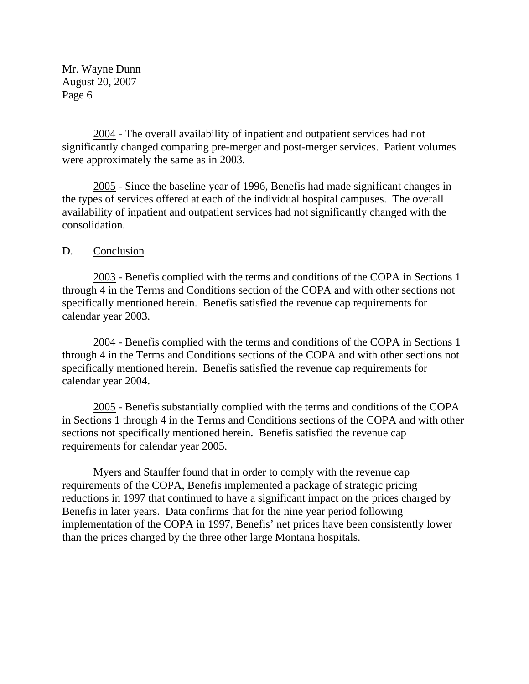2004 - The overall availability of inpatient and outpatient services had not significantly changed comparing pre-merger and post-merger services. Patient volumes were approximately the same as in 2003.

2005 - Since the baseline year of 1996, Benefis had made significant changes in the types of services offered at each of the individual hospital campuses. The overall availability of inpatient and outpatient services had not significantly changed with the consolidation.

## D. Conclusion

2003 - Benefis complied with the terms and conditions of the COPA in Sections 1 through 4 in the Terms and Conditions section of the COPA and with other sections not specifically mentioned herein. Benefis satisfied the revenue cap requirements for calendar year 2003.

 2004 - Benefis complied with the terms and conditions of the COPA in Sections 1 through 4 in the Terms and Conditions sections of the COPA and with other sections not specifically mentioned herein. Benefis satisfied the revenue cap requirements for calendar year 2004.

 2005 - Benefis substantially complied with the terms and conditions of the COPA in Sections 1 through 4 in the Terms and Conditions sections of the COPA and with other sections not specifically mentioned herein. Benefis satisfied the revenue cap requirements for calendar year 2005.

 Myers and Stauffer found that in order to comply with the revenue cap requirements of the COPA, Benefis implemented a package of strategic pricing reductions in 1997 that continued to have a significant impact on the prices charged by Benefis in later years. Data confirms that for the nine year period following implementation of the COPA in 1997, Benefis' net prices have been consistently lower than the prices charged by the three other large Montana hospitals.